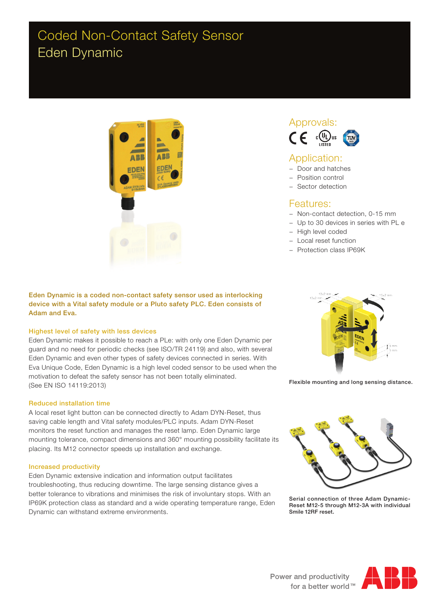## Coded Non-Contact Safety Sensor Eden Dynamic



Eden Dynamic is a coded non-contact safety sensor used as interlocking device with a Vital safety module or a Pluto safety PLC. Eden consists of Adam and Eva.

### Highest level of safety with less devices

Eden Dynamic makes it possible to reach a PLe: with only one Eden Dynamic per guard and no need for periodic checks (see ISO/TR 24119) and also, with several Eden Dynamic and even other types of safety devices connected in series. With Eva Unique Code, Eden Dynamic is a high level coded sensor to be used when the motivation to defeat the safety sensor has not been totally eliminated. (See EN ISO 14119:2013)

#### Reduced installation time

A local reset light button can be connected directly to Adam DYN-Reset, thus saving cable length and Vital safety modules/PLC inputs. Adam DYN-Reset monitors the reset function and manages the reset lamp. Eden Dynamic large mounting tolerance, compact dimensions and 360° mounting possibility facilitate its placing. Its M12 connector speeds up installation and exchange.

#### Increased productivity

Eden Dynamic extensive indication and information output facilitates troubleshooting, thus reducing downtime. The large sensing distance gives a better tolerance to vibrations and minimises the risk of involuntary stops. With an IP69K protection class as standard and a wide operating temperature range, Eden Dynamic can withstand extreme environments.





### Application:

- − Door and hatches
- − Position control
- − Sector detection

### Features:

- − Non-contact detection, 0-15 mm
- − Up to 30 devices in series with PL e
- − High level coded
- − Local reset function
- − Protection class IP69K



Flexible mounting and long sensing distance.



Serial connection of three Adam Dynamic-Reset M12-5 through M12-3A with individual Smile 12RF reset.

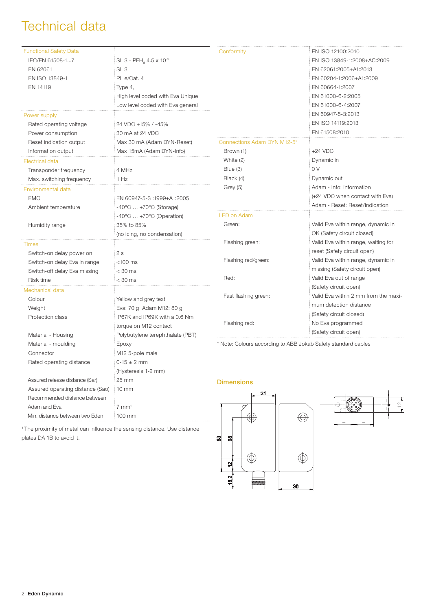## Technical data

| <b>Functional Safety Data</b><br>IEC/EN 61508-17 | $SIL3 - PFH_{d} 4.5 \times 10^{-9}$         | Conformity                                                    | EN ISO 12100:2010<br>EN ISO 13849-1:2008+AC:2009 |
|--------------------------------------------------|---------------------------------------------|---------------------------------------------------------------|--------------------------------------------------|
| EN 62061                                         | SIL <sub>3</sub>                            |                                                               | EN 62061:2005+A1:2013                            |
| EN ISO 13849-1                                   | PL e/Cat. 4                                 |                                                               | EN 60204-1:2006+A1:2009                          |
| EN 14119                                         | Type 4,                                     |                                                               | EN 60664-1:2007                                  |
|                                                  | High level coded with Eva Unique            |                                                               | EN 61000-6-2:2005                                |
|                                                  | Low level coded with Eva general            |                                                               | EN 61000-6-4:2007                                |
| Power supply                                     |                                             |                                                               | EN 60947-5-3:2013                                |
| Rated operating voltage                          | 24 VDC +15% / -45%                          |                                                               | EN ISO 14119:2013                                |
| Power consumption                                | 30 mA at 24 VDC                             |                                                               | EN 61508:2010                                    |
| Reset indication output                          | Max 30 mA (Adam DYN-Reset)                  | Connections Adam DYN M12-5'                                   |                                                  |
| Information output                               | Max 15mA (Adam DYN-Info)                    | Brown (1)                                                     | $+24$ VDC                                        |
| Electrical data                                  |                                             | White (2)                                                     | Dynamic in                                       |
| Transponder frequency                            | 4 MHz                                       | Blue (3)                                                      | 0V                                               |
| Max. switching frequency                         | 1 Hz                                        | Black (4)                                                     | Dynamic out                                      |
| Environmental data                               |                                             | Grey (5)                                                      | Adam - Info: Information                         |
| <b>EMC</b>                                       | EN 60947-5-3 :1999+A1:2005                  |                                                               | (+24 VDC when contact with Eva)                  |
| Ambient temperature                              | $-40^{\circ}$ C $ +70^{\circ}$ C (Storage)  |                                                               | Adam - Reset: Reset/indication                   |
|                                                  | $-40^{\circ}$ C $+70^{\circ}$ C (Operation) | <b>LED on Adam</b>                                            |                                                  |
| Humidity range                                   | 35% to 85%                                  | Green:                                                        | Valid Eva within range, dynamic in               |
|                                                  | (no icing, no condensation)                 |                                                               | OK (Safety circuit closed)                       |
| Times                                            |                                             | Flashing green:                                               | Valid Eva within range, waiting for              |
| Switch-on delay power on                         | 2s                                          |                                                               | reset (Safety circuit open)                      |
| Switch-on delay Eva in range                     | $<$ 100 $ms$                                | Flashing red/green:                                           | Valid Eva within range, dynamic in               |
| Switch-off delay Eva missing                     | $<$ 30 ms                                   |                                                               | missing (Safety circuit open)                    |
| Risk time                                        | < 30 ms                                     | Red:                                                          | Valid Eva out of range                           |
| Mechanical data                                  |                                             |                                                               | (Safety circuit open)                            |
| Colour                                           | Yellow and grey text                        | Fast flashing green:                                          | Valid Eva within 2 mm from the maxi-             |
| Weight                                           | Eva: 70 g Adam M12: 80 g                    |                                                               | mum detection distance                           |
| Protection class                                 | IP67K and IP69K with a 0.6 Nm               |                                                               | (Safety circuit closed)                          |
|                                                  | torque on M12 contact                       | Flashing red:                                                 | No Eva programmed                                |
| Material - Housing                               | Polybutylene terephthalate (PBT)            |                                                               | (Safety circuit open)                            |
| Material - moulding                              | Epoxy                                       | * Note: Colours according to ABB Jokab Safety standard cables |                                                  |
| Connector                                        | M12 5-pole male                             |                                                               |                                                  |
| Rated operating distance                         | $0-15 \pm 2$ mm                             |                                                               |                                                  |
|                                                  | (Hysteresis 1-2 mm)                         |                                                               |                                                  |
| Assured release distance (Sar)                   | 25 mm                                       | Dimonejone                                                    |                                                  |

1 The proximity of metal can influence the sensing distance. Use distance plates DA 1B to avoid it.

10 mm

 $7 \text{ mm}^1$ 100 mm

 Assured operating distance (Sao) Recommended distance between

Min. distance between two Eden

Adam and Eva

**Dimensions** 



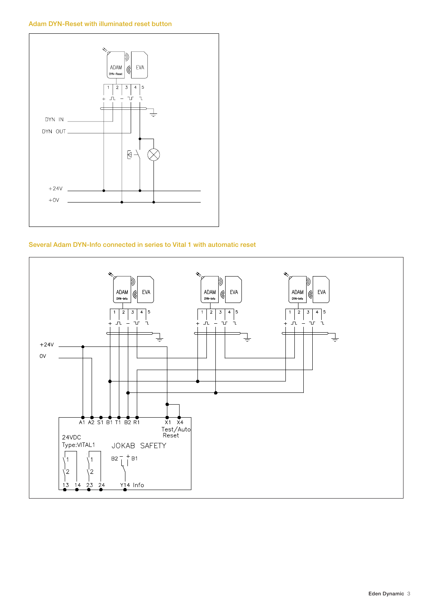### Adam DYN-Reset with illuminated reset button



### Several Adam DYN-Info connected in series to Vital 1 with automatic reset

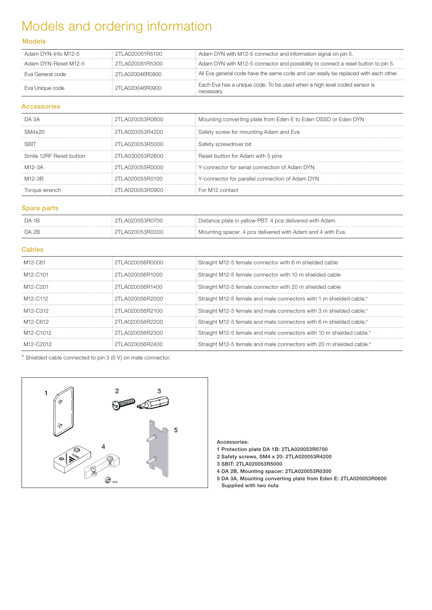# Models and ordering information

### Models

| Adam DYN-Info M12-5  | 2TI A020051B5100 | : Adam DYN with M12-5 connector and information signal on pin 5.                       |
|----------------------|------------------|----------------------------------------------------------------------------------------|
| Adam DYN-Reset M12-5 | 2TLA020051R5300  | Adam DYN with M12-5 connector and possibility to connect a reset button to pin 5.      |
| Eva General code     | 2TI A020046B0800 | All Eva general code have the same code and can easily be replaced with each other.    |
| Eva Unique code      | 2TI AN20046RN900 | Each Eva has a unique code. To be used when a high level coded sensor is<br>hecessarv. |

### Accessories

| DA 3A                   | 2TLA020053B0600  | Mounting converting plate from Eden E to Eden OSSD or Eden DYN |
|-------------------------|------------------|----------------------------------------------------------------|
| SM4x20                  | 2TI A020053R4200 | Safety screw for mounting Adam and Eva                         |
| SRIT                    | 2TLA020053B5000  | Safety screwdriver bit                                         |
| Smile 12RF Reset button | 2TL A030053B2600 | Reset button for Adam with 5 pins                              |
| M12-3A                  | 2TI A020055R0000 | Y-connector for serial connection of Adam DYN                  |
| M12-3R                  | 2TI AN2NN55RN1NN | Y-connector for parallel connection of Adam DYN                |
|                         |                  | For M12 contact                                                |

### Spare parts

| DA 1B | 2TLA020053R0700    | Distance plate in yellow PBT. 4 pcs delivered with Adam.   |
|-------|--------------------|------------------------------------------------------------|
| DA 2B | 112TI A020053R0300 | Mounting spacer. 4 pcs delivered with Adam and 4 with Eva. |

### **Cables**

| M <sub>12</sub> -C <sub>61</sub>   | : 2TI A020056R0000 | Straight M12-5 female connector with 6 m shielded cable               |
|------------------------------------|--------------------|-----------------------------------------------------------------------|
| M <sub>12</sub> -C <sub>101</sub>  | 2TLA020056R1000    | Straight M12-5 female connector with 10 m shielded cable              |
| M <sub>12</sub> -C <sub>201</sub>  | 2TI A020056R1400   | Straight M12-5 female connector with 20 m shielded cable              |
| M <sub>12</sub> -C <sub>112</sub>  | 2TI A020056B2000   | : Straight M12-5 female and male connectors with 1 m shielded cable.* |
| M <sub>12</sub> -C <sub>312</sub>  | 2TI AN2NN56R21NN   | Straight M12-5 female and male connectors with 3 m shielded cable.*   |
| M <sub>12</sub> -C <sub>612</sub>  | 2TI A020056R2200   | Straight M12-5 female and male connectors with 6 m shielded cable.*   |
| M <sub>12</sub> -C <sub>1012</sub> | 2TLA020056B2300    | Straight M12-5 female and male connectors with 10 m shielded cable.*  |
|                                    | TI AN2NN5AR24NN    | Straight M12-5 female and male connectors with 20 m shielded cable.*  |

\* Shielded cable connected to pin 3 (0 V) on male connector.



#### Accessories:

- 1 Protection plate DA 1B: 2TLA020053R0700
- 2 Safety screws, SM4 x 20: 2TLA020053R4200
- 3 SBIT: 2TLA020053R5000
- 4 DA 2B, Mounting spacer: 2TLA020053R0300
- 5 DA 3A, Mounting converting plate from Eden E: 2TLA020053R0600 Supplied with two nuts